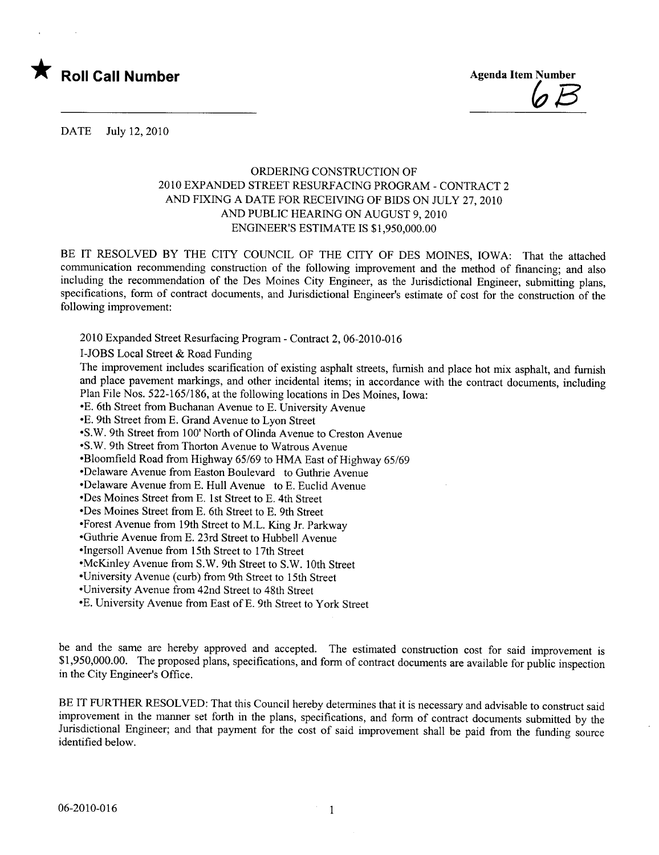

 $\boldsymbol{b}$   $\boldsymbol{\beta}$ 

DATE July 12, 2010

## ORDERING CONSTRUCTION OF 2010 EXPANDED STREET RESURFACING PROGRAM - CONTRACT 2 AND FIXING A DATE FOR RECEIVING OF BIDS ON JULY 27, 2010 AND PUBLIC HEARING ON AUGUST 9, 2010 ENGINEER'S ESTIMATE IS \$1,950,000.00

BE IT RESOLVED BY THE CITY COUNCIL OF THE CITY OF DES MOINES, IOWA: That the attached communication recommending construction of the following improvement and the method of financing; and also including the recommendation of the Des Moines City Engineer, as the Jurisdictional Engineer, submitting plans, specifications, form of contract documents, and Jurisdictional Engineer's estimate of cost for the construction of the following improvement:

2010 Expanded Street Resurfacing Program - Contract 2,06-2010-016

I-JOBS Local Street & Road Funding

The improvement includes scarification of existing asphalt streets, furnish and place hot mix asphalt, and furnish and place pavement markings, and other incidental items; in accordance with the contract documents, including Plan File Nos. 522-165/186, at the following locations in Des Moines, Iowa:

-E. 6th Street from Buchanan Avenue to E. University Avenue

-E. 9th Street from E. Grand Avenue to Lyon Street

-S.W. 9th Street from 100' North of Olinda Avenue to Creston Avenue

-S.W. 9th Street from Thorton Avenue to Watrous Avenue

-Bloomfield Road from Highway 65/69 to HMA East of Highway 65/69

- Delaware Avenue from Easton Boulevard to Guthrie Avenue

-Delaware Avenue from E. Hull Avenue to E. Euclid Avenue

-Des Moines Street from E. 1st Street to E. 4th Street

- -Des Moines Street from E. 6th Street to E. 9th Street
- -Forest Avenue from 19th Street to M.L. King Jr. Parkway

-Guthre Avenue from E. 23rd Street to Hubbell Avenue

- -Ingersoll Avenue from 15th Street to 17th Street
- -McKinley Avenue from S.W. 9th Street to S.W. 10th Street
- -University Avenue (curb) from 9th Street to 15th Street
- -University Avenue from 42nd Street to 48th Street

-E. University Avenue from East ofE. 9th Street to York Street

be and the same are hereby approved and accepted. The estimated construction cost for said improvement is \$1,950,000.00. The proposed plans, specifications, and form of contract documents are available for public inspection in the City Engineer's Office.

BE IT FURTHER RESOLVED: That this Council hereby determines that it is necessary and advisable to construct said improvement in the manner set forth in the plans, specifications, and form of contract documents submitted by the Jurisdictional Engineer; and that payment for the cost of said improvement shall be paid from the funding source identified below.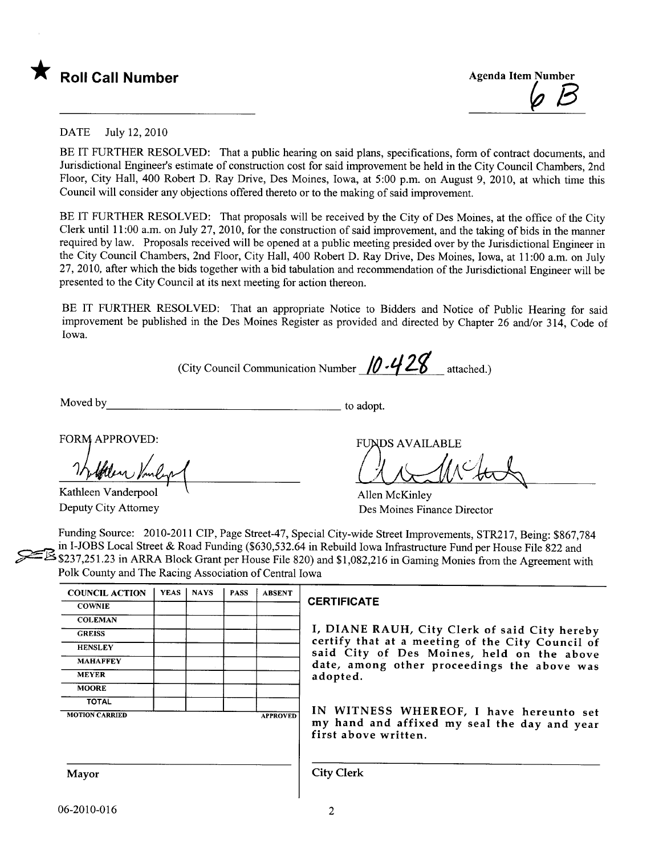



## DATE July 12,2010

BE IT FURTHER RESOLVED: That a public hearing on said plans, specifications, form of contract documents, and Jurisdictional Engineer's estimate of construction cost for said improvement be held in the City Council Chambers, 2nd Floor, City Hall, 400 Robert D. Ray Drive, Des Moines, Iowa, at 5:00 p.m. on August 9, 2010, at which time this Council wil consider any objections offered thereto or to the making of said improvement.

BE IT FURTHER RESOLVED: That proposals will be received by the City of Des Moines, at the office of the City Clerk until 11 :00 a.m. on July 27, 2010, for the construction of said improvement, and the taking of bids in the manner required by law. Proposals received will be opened at a public meeting presided over by the Jurisdictional Engineer in the City Council Chambers, 2nd Floor, City Hall, 400 Robert D. Ray Drive, Des Moines, Iowa, at 11 :00 a.m. on July 27,2010, after which the bids together with a bid tabulation and recommendation of the Jurisdictional Engineer wil be presented to the City Council at its next meeting for action thereon.

BE IT FURTHER RESOLVED: That an appropriate Notice to Bidders and Notice of Public Hearing for said improvement be published in the Des Moines Register as provided and directed by Chapter 26 and/or 314, Code of Iowa.

(City Council Communication Number  $/0.428$  attached.)

Moved by to adopt.

FORM APPROVED:

Kathleen Vanderpool Deputy City Attorney

**FUNDS AVAILABLE** 

Clark

Allen McKinley Des Moines Finance Director

Funding Source: 2010-2011 CIP, Page Street-47, Special City-wide Street Improvements, STR217, Being: \$867,784 in I-JOBS Local Street & Road Funding (\$630,532.64 in Rebuild Iowa Infrastructure Fund per House File 822 and \$237,251.23 in ARRA Block Grant per House File 820) and \$1,082,216 in Gaming Monies from the Agreement with Polk County and The Racing Association of Central Iowa

| <b>COUNCIL ACTION</b> | <b>YEAS</b> | <b>NAYS</b> | <b>PASS</b> | <b>ABSENT</b>   |
|-----------------------|-------------|-------------|-------------|-----------------|
| <b>COWNIE</b>         |             |             |             |                 |
| <b>COLEMAN</b>        |             |             |             |                 |
| <b>GREISS</b>         |             |             |             |                 |
| <b>HENSLEY</b>        |             |             |             |                 |
| <b>MAHAFFEY</b>       |             |             |             |                 |
| <b>MEYER</b>          |             |             |             |                 |
| <b>MOORE</b>          |             |             |             |                 |
| <b>TOTAL</b>          |             |             |             |                 |
| <b>MOTION CARRIED</b> |             |             |             | <b>APPROVED</b> |

## **CERTIFICATE**

I, DIANE RAUH, City Clerk of said City hereby certify that at a meeting of the City Council of said City of Des Moines, held on the above date, among other proceedings the above was adopted.

IN WITNESS WHEREOF, I have hereunto set my hand and affixed my seal the day and year first above written.

Mayor City Clerk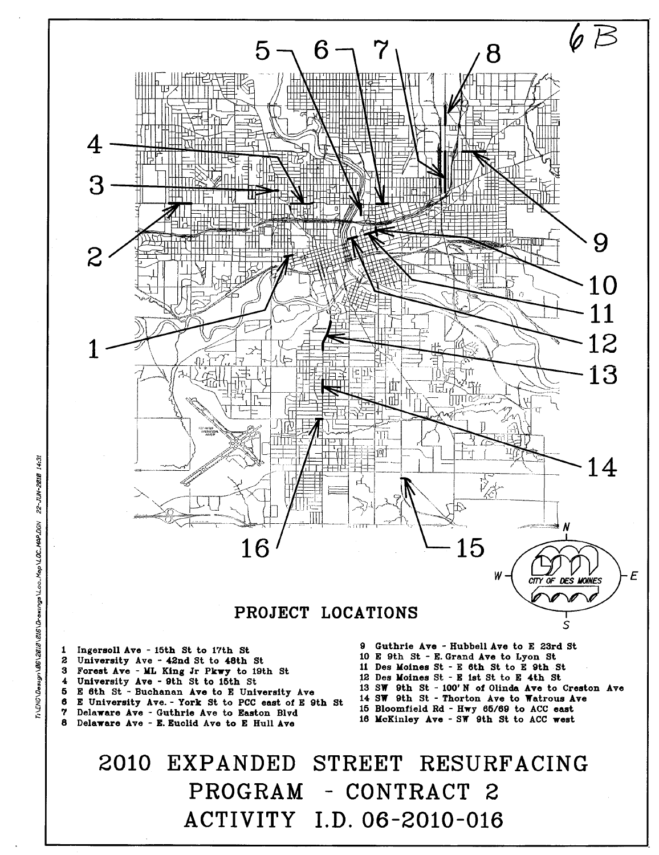

Delaware Ave - Guthrie Ave to Easton Blvd

8 Delaware Ave - E. Euclid Ave to E Hull Ave 15 Bloomfield Rd - Hwy 65/69 to ACC east 16 McKinley Ave - SW 9th St to ACC west

2010 EXPANDED STREET RESURFACING PROGRAM ACTIVITY I.D. 06-2010-016 - CONTRACT 2

1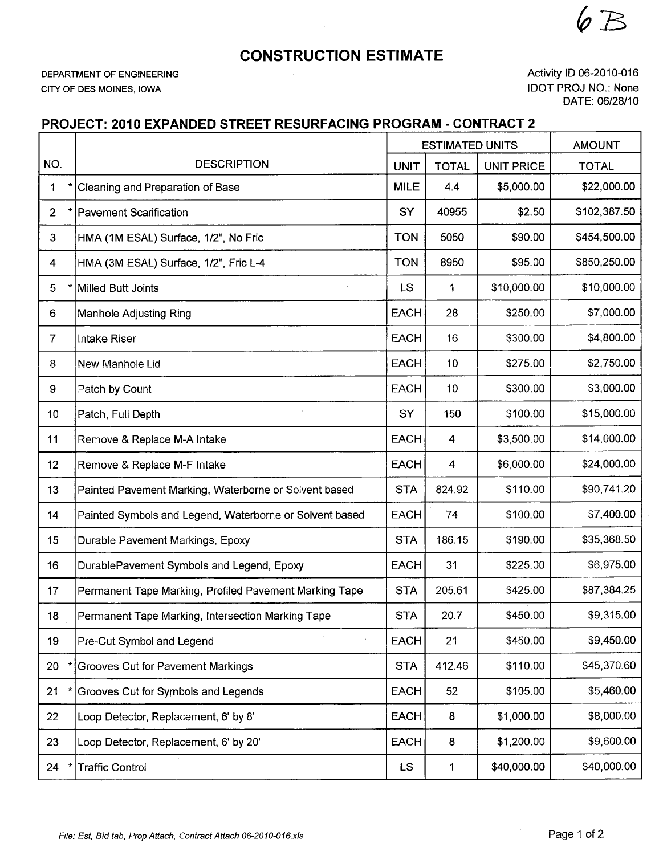CONSTRUCTION ESTIMATE

DEPARTMENT OF ENGINEERING CITY OF DES MOINES, IOWA

Activity ID 06-2010-016 IDOT PROJ NO.: None DATE: 06/28/10

 $6B$ 

## PROJECT: 2010 EXPANDED STREET RESURFACING PROGRAM - CONTRACT 2

|                         |                                                         | <b>ESTIMATED UNITS</b> |                 | <b>AMOUNT</b>     |              |
|-------------------------|---------------------------------------------------------|------------------------|-----------------|-------------------|--------------|
| NO.                     | <b>DESCRIPTION</b>                                      | <b>UNIT</b>            | <b>TOTAL</b>    | <b>UNIT PRICE</b> | <b>TOTAL</b> |
| 1                       | Cleaning and Preparation of Base                        | <b>MILE</b>            | 4.4             | \$5,000.00        | \$22,000.00  |
| 2 <sup>1</sup>          | <b>Pavement Scarification</b>                           | SY                     | 40955           | \$2.50            | \$102,387.50 |
| 3                       | HMA (1M ESAL) Surface, 1/2", No Fric                    | <b>TON</b>             | 5050            | \$90.00           | \$454,500.00 |
| $\overline{\mathbf{4}}$ | HMA (3M ESAL) Surface, 1/2", Fric L-4                   | <b>TON</b>             | 8950            | \$95.00           | \$850,250.00 |
| 5                       | Milled Butt Joints                                      | <b>LS</b>              | 1               | \$10,000.00       | \$10,000.00  |
| 6                       | <b>Manhole Adjusting Ring</b>                           | <b>EACH</b>            | 28              | \$250.00          | \$7,000.00   |
| $\overline{7}$          | Intake Riser                                            | <b>EACH</b>            | 16              | \$300.00          | \$4,800.00   |
| 8                       | New Manhole Lid                                         | <b>EACH</b>            | 10              | \$275.00          | \$2,750.00   |
| 9                       | Patch by Count                                          | <b>EACH</b>            | 10 <sub>1</sub> | \$300.00          | \$3,000.00   |
| 10                      | Patch, Full Depth                                       | SY                     | 150             | \$100.00          | \$15,000.00  |
| 11                      | Remove & Replace M-A Intake                             | <b>EACH</b>            | 4               | \$3,500.00        | \$14,000.00  |
| 12                      | Remove & Replace M-F Intake                             | <b>EACH</b>            | $\overline{4}$  | \$6,000.00        | \$24,000.00  |
| 13                      | Painted Pavement Marking, Waterborne or Solvent based   | <b>STA</b>             | 824.92          | \$110.00          | \$90,741.20  |
| 14                      | Painted Symbols and Legend, Waterborne or Solvent based | <b>EACH</b>            | 74              | \$100.00          | \$7,400.00   |
| 15                      | Durable Pavement Markings, Epoxy                        | <b>STA</b>             | 186.15          | \$190.00          | \$35,368.50  |
| 16                      | DurablePavement Symbols and Legend, Epoxy               | <b>EACH</b>            | 31              | \$225.00          | \$6,975.00   |
| 17                      | Permanent Tape Marking, Profiled Pavement Marking Tape  | <b>STA</b>             | 205.61          | \$425.00          | \$87,384.25  |
| 18                      | Permanent Tape Marking, Intersection Marking Tape       | <b>STA</b>             | 20.7            | \$450.00          | \$9,315.00   |
| 19                      | Pre-Cut Symbol and Legend                               | <b>EACH</b>            | 21              | \$450.00          | \$9,450.00   |
| 20                      | Grooves Cut for Pavement Markings                       | <b>STA</b>             | 412.46          | \$110.00          | \$45,370.60  |
| 21                      | Grooves Cut for Symbols and Legends                     | <b>EACH</b>            | 52              | \$105.00          | \$5,460.00   |
| 22                      | Loop Detector, Replacement, 6' by 8'                    | <b>EACH</b>            | 8               | \$1,000.00        | \$8,000.00   |
| 23                      | Loop Detector, Replacement, 6' by 20'                   | <b>EACH</b>            | 8               | \$1,200.00        | \$9,600.00   |
| 24                      | <b>Traffic Control</b>                                  | <b>LS</b>              | 1               | \$40,000.00       | \$40,000.00  |